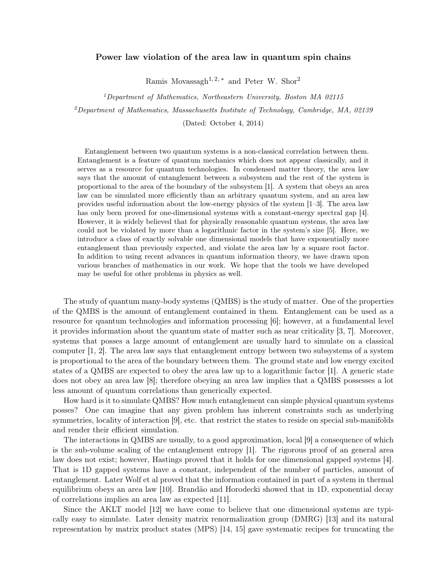## Power law violation of the area law in quantum spin chains

Ramis Movassagh<sup>1, 2, \*</sup> and Peter W. Shor<sup>2</sup>

<sup>1</sup>Department of Mathematics, Northeastern University, Boston MA 02115

 $^{2}$ Department of Mathematics, Massachusetts Institute of Technology, Cambridge, MA, 02139

(Dated: October 4, 2014)

Entanglement between two quantum systems is a non-classical correlation between them. Entanglement is a feature of quantum mechanics which does not appear classically, and it serves as a resource for quantum technologies. In condensed matter theory, the area law says that the amount of entanglement between a subsystem and the rest of the system is proportional to the area of the boundary of the subsystem [1]. A system that obeys an area law can be simulated more efficiently than an arbitrary quantum system, and an area law provides useful information about the low-energy physics of the system [1–3]. The area law has only been proved for one-dimensional systems with a constant-energy spectral gap [4]. However, it is widely believed that for physically reasonable quantum systems, the area law could not be violated by more than a logarithmic factor in the system's size [5]. Here, we introduce a class of exactly solvable one dimensional models that have exponentially more entanglement than previously expected, and violate the area law by a square root factor. In addition to using recent advances in quantum information theory, we have drawn upon various branches of mathematics in our work. We hope that the tools we have developed may be useful for other problems in physics as well.

The study of quantum many-body systems (QMBS) is the study of matter. One of the properties of the QMBS is the amount of entanglement contained in them. Entanglement can be used as a resource for quantum technologies and information processing [6]; however, at a fundamental level it provides information about the quantum state of matter such as near criticality [3, 7]. Moreover, systems that posses a large amount of entanglement are usually hard to simulate on a classical computer [1, 2]. The area law says that entanglement entropy between two subsystems of a system is proportional to the area of the boundary between them. The ground state and low energy excited states of a QMBS are expected to obey the area law up to a logarithmic factor [1]. A generic state does not obey an area law [8]; therefore obeying an area law implies that a QMBS possesses a lot less amount of quantum correlations than generically expected.

How hard is it to simulate QMBS? How much entanglement can simple physical quantum systems posses? One can imagine that any given problem has inherent constraints such as underlying symmetries, locality of interaction [9], etc. that restrict the states to reside on special sub-manifolds and render their efficient simulation.

The interactions in QMBS are usually, to a good approximation, local [9] a consequence of which is the sub-volume scaling of the entanglement entropy [1]. The rigorous proof of an general area law does not exist; however, Hastings proved that it holds for one dimensional gapped systems [4]. That is 1D gapped systems have a constant, independent of the number of particles, amount of entanglement. Later Wolf et al proved that the information contained in part of a system in thermal equilibrium obeys an area law [10]. Brandão and Horodecki showed that in 1D, exponential decay of correlations implies an area law as expected [11].

Since the AKLT model [12] we have come to believe that one dimensional systems are typically easy to simulate. Later density matrix renormalization group (DMRG) [13] and its natural representation by matrix product states (MPS) [14, 15] gave systematic recipes for truncating the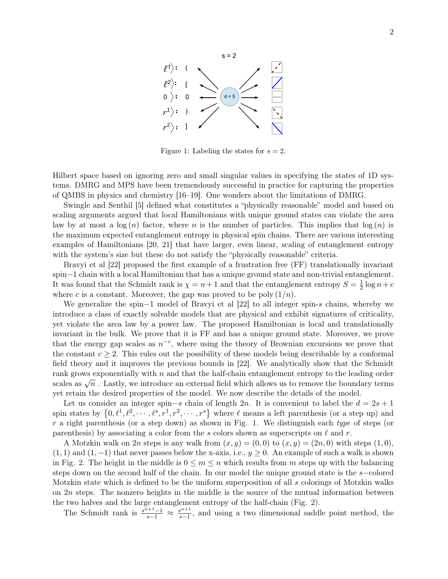

Figure 1: Labeling the states for  $s = 2$ .

Hilbert space based on ignoring zero and small singular values in specifying the states of 1D systems. DMRG and MPS have been tremendously successful in practice for capturing the properties of QMBS in physics and chemistry [16–19]. One wonders about the limitations of DMRG.

Swingle and Senthil [5] defined what constitutes a "physically reasonable" model and based on scaling arguments argued that local Hamiltonians with unique ground states can violate the area law by at most a  $log(n)$  factor, where n is the number of particles. This implies that  $log(n)$  is the maximum expected entanglement entropy in physical spin chains. There are various interesting examples of Hamiltonians [20, 21] that have larger, even linear, scaling of entanglement entropy with the system's size but these do not satisfy the "physically reasonable" criteria.

Bravyi et al [22] proposed the first example of a frustration free (FF) translationally invariant spin−1 chain with a local Hamiltonian that has a unique ground state and non-trivial entanglement. It was found that the Schmidt rank is  $\chi = n+1$  and that the entanglement entropy  $S = \frac{1}{2}$  $\frac{1}{2}\log n+c$ where c is a constant. Moreover, the gap was proved to be poly  $(1/n)$ .

We generalize the spin−1 model of Bravyi et al [22] to all integer spin-s chains, whereby we introduce a class of exactly solvable models that are physical and exhibit signatures of criticality, yet violate the area law by a power law. The proposed Hamiltonian is local and translationally invariant in the bulk. We prove that it is FF and has a unique ground state. Moreover, we prove that the energy gap scales as  $n^{-c}$ , where using the theory of Brownian excursions we prove that the constant  $c \geq 2$ . This rules out the possibility of these models being describable by a conformal field theory and it improves the previous bounds in [22]. We analytically show that the Schmidt rank grows exponentially with  $n$  and that the half-chain entanglement entropy to the leading order scales as  $\sqrt{n}$ . Lastly, we introduce an external field which allows us to remove the boundary terms yet retain the desired properties of the model. We now describe the details of the model.

Let us consider an integer spin–s chain of length 2n. It is convenient to label the  $d = 2s + 1$ spin states by  $\{0, \ell^1, \ell^2, \cdots, \ell^s, r^1, r^2, \cdots, r^s\}$  where  $\ell$  means a left parenthesis (or a step up) and r a right parenthesis (or a step down) as shown in Fig. 1. We distinguish each type of steps (or parenthesis) by associating a color from the s colors shown as superscripts on  $\ell$  and r.

A Motzkin walk on 2n steps is any walk from  $(x, y) = (0, 0)$  to  $(x, y) = (2n, 0)$  with steps  $(1, 0)$ ,  $(1, 1)$  and  $(1, -1)$  that never passes below the x-axis, i.e.,  $y \ge 0$ . An example of such a walk is shown in Fig. 2. The height in the middle is  $0 \leq m \leq n$  which results from m steps up with the balancing steps down on the second half of the chain. In our model the unique ground state is the s−colored Motzkin state which is defined to be the uniform superposition of all s colorings of Motzkin walks on  $2n$  steps. The nonzero heights in the middle is the source of the mutual information between the two halves and the large entanglement entropy of the half-chain (Fig. 2).

The Schmidt rank is  $\frac{s^{n+1}-1}{s-1} \approx \frac{s^{n+1}}{s-1}$  $\frac{s^{n+1}}{s-1}$ , and using a two dimensional saddle point method, the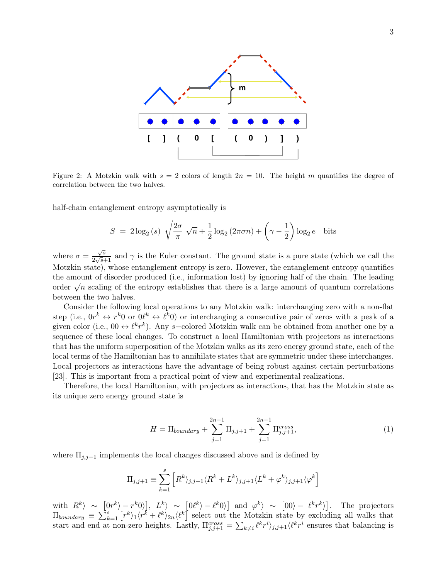

Figure 2: A Motzkin walk with  $s = 2$  colors of length  $2n = 10$ . The height m quantifies the degree of correlation between the two halves.

half-chain entanglement entropy asymptotically is

$$
S = 2\log_2(s) \sqrt{\frac{2\sigma}{\pi}} \sqrt{n} + \frac{1}{2}\log_2(2\pi\sigma n) + \left(\gamma - \frac{1}{2}\right)\log_2 e \text{ bits}
$$

where  $\sigma =$  $\sqrt{s}$  $\frac{\sqrt{s}}{2\sqrt{s}+1}$  and  $\gamma$  is the Euler constant. The ground state is a pure state (which we call the Motzkin state), whose entanglement entropy is zero. However, the entanglement entropy quantifies the amount of disorder produced (i.e., information lost) by ignoring half of the chain. The leading order  $\sqrt{n}$  scaling of the entropy establishes that there is a large amount of quantum correlations between the two halves.

Consider the following local operations to any Motzkin walk: interchanging zero with a non-flat step (i.e.,  $0r^k \leftrightarrow r^k0$  or  $0\ell^k \leftrightarrow \ell^k0$ ) or interchanging a consecutive pair of zeros with a peak of a given color (i.e., 00  $\leftrightarrow \ell^k r^k$ ). Any s-colored Motzkin walk can be obtained from another one by a sequence of these local changes. To construct a local Hamiltonian with projectors as interactions that has the uniform superposition of the Motzkin walks as its zero energy ground state, each of the local terms of the Hamiltonian has to annihilate states that are symmetric under these interchanges. Local projectors as interactions have the advantage of being robust against certain perturbations [23]. This is important from a practical point of view and experimental realizations.

Therefore, the local Hamiltonian, with projectors as interactions, that has the Motzkin state as its unique zero energy ground state is

$$
H = \Pi_{boundary} + \sum_{j=1}^{2n-1} \Pi_{j,j+1} + \sum_{j=1}^{2n-1} \Pi_{j,j+1}^{cross},
$$
 (1)

where  $\Pi_{j,j+1}$  implements the local changes discussed above and is defined by

$$
\Pi_{j,j+1} \equiv \sum_{k=1}^{s} \left[ R^{k} \rangle_{j,j+1} \langle R^{k} + L^{k} \rangle_{j,j+1} \langle L^{k} + \varphi^{k} \rangle_{j,j+1} \langle \varphi^{k} \right]
$$

with  $R^k$  ~  $[0r^k - r^k 0]$ ,  $L^k$  ~  $[0l^k - l^k 0]$  and  $\varphi^k$  ~  $[00 - l^k r^k]$ . The projectors  $\Pi_{boundary} \equiv \sum_{k=1}^{s} \left[ r^k \right]_1 \langle r^k + \ell^k \rangle_{2n} \langle \ell^k \right]$  select out the Motzkin state by excluding all walks that start and end at non-zero heights. Lastly,  $\Pi_{j,j+1}^{cross} = \sum_{k\neq i} \ell^k r^i \rangle_{j,j+1} \langle \ell^k r^i$  ensures that balancing is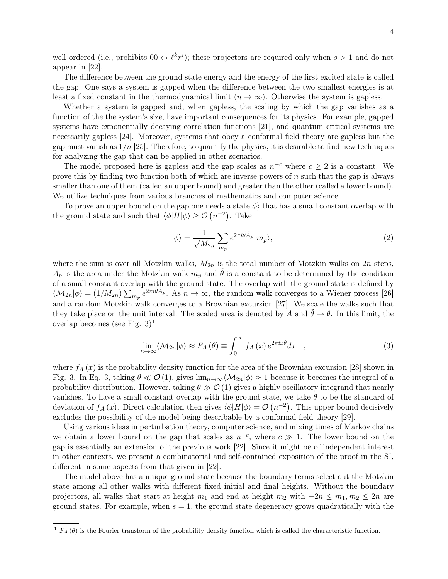well ordered (i.e., prohibits  $0 \theta \leftrightarrow \ell^k r^i$ ); these projectors are required only when  $s > 1$  and do not appear in [22].

The difference between the ground state energy and the energy of the first excited state is called the gap. One says a system is gapped when the difference between the two smallest energies is at least a fixed constant in the thermodynamical limit  $(n \to \infty)$ . Otherwise the system is gapless.

Whether a system is gapped and, when gapless, the scaling by which the gap vanishes as a function of the the system's size, have important consequences for its physics. For example, gapped systems have exponentially decaying correlation functions [21], and quantum critical systems are necessarily gapless [24]. Moreover, systems that obey a conformal field theory are gapless but the gap must vanish as  $1/n$  [25]. Therefore, to quantify the physics, it is desirable to find new techniques for analyzing the gap that can be applied in other scenarios.

The model proposed here is gapless and the gap scales as  $n^{-c}$  where  $c \geq 2$  is a constant. We prove this by finding two function both of which are inverse powers of  $n$  such that the gap is always smaller than one of them (called an upper bound) and greater than the other (called a lower bound). We utilize techniques from various branches of mathematics and computer science.

To prove an upper bound on the gap one needs a state  $\phi$  that has a small constant overlap with the ground state and such that  $\langle \phi | H | \phi \rangle \geq \mathcal{O}(n^{-2})$ . Take

$$
\phi \rangle = \frac{1}{\sqrt{M_{2n}}} \sum_{m_p} e^{2\pi i \tilde{\theta} \tilde{A}_p} m_p \rangle, \tag{2}
$$

where the sum is over all Motzkin walks,  $M_{2n}$  is the total number of Motzkin walks on  $2n$  steps,  $\tilde{A}_p$  is the area under the Motzkin walk  $m_p$  and  $\tilde{\theta}$  is a constant to be determined by the condition of a small constant overlap with the ground state. The overlap with the ground state is defined by  $\langle \mathcal{M}_{2n} | \phi \rangle = (1/M_{2n}) \sum_{m_p} e^{2\pi i \tilde{\theta} \tilde{A}_p}$ . As  $n \to \infty$ , the random walk converges to a Wiener process [26] and a random Motzkin walk converges to a Brownian excursion [27]. We scale the walks such that they take place on the unit interval. The scaled area is denoted by A and  $\tilde{\theta} \to \theta$ . In this limit, the overlap becomes (see Fig.  $3)^1$ 

$$
\lim_{n \to \infty} \langle \mathcal{M}_{2n} | \phi \rangle \approx F_A(\theta) \equiv \int_0^\infty f_A(x) e^{2\pi i x \theta} dx \quad , \tag{3}
$$

where  $f_A(x)$  is the probability density function for the area of the Brownian excursion [28] shown in Fig. 3. In Eq. 3, taking  $\theta \ll \mathcal{O}(1)$ , gives  $\lim_{n\to\infty}\langle\mathcal{M}_{2n}|\phi\rangle \approx 1$  because it becomes the integral of a probability distribution. However, taking  $\theta \gg O(1)$  gives a highly oscillatory integrand that nearly vanishes. To have a small constant overlap with the ground state, we take  $\theta$  to be the standard of deviation of  $f_A(x)$ . Direct calculation then gives  $\langle \phi | H | \phi \rangle = \mathcal{O}(n^{-2})$ . This upper bound decisively excludes the possibility of the model being describable by a conformal field theory [29].

Using various ideas in perturbation theory, computer science, and mixing times of Markov chains we obtain a lower bound on the gap that scales as  $n^{-c}$ , where  $c \gg 1$ . The lower bound on the gap is essentially an extension of the previous work [22]. Since it might be of independent interest in other contexts, we present a combinatorial and self-contained exposition of the proof in the SI, different in some aspects from that given in [22].

The model above has a unique ground state because the boundary terms select out the Motzkin state among all other walks with different fixed initial and final heights. Without the boundary projectors, all walks that start at height  $m_1$  and end at height  $m_2$  with  $-2n \le m_1, m_2 \le 2n$  are ground states. For example, when  $s = 1$ , the ground state degeneracy grows quadratically with the

<sup>&</sup>lt;sup>1</sup>  $F_A(\theta)$  is the Fourier transform of the probability density function which is called the characteristic function.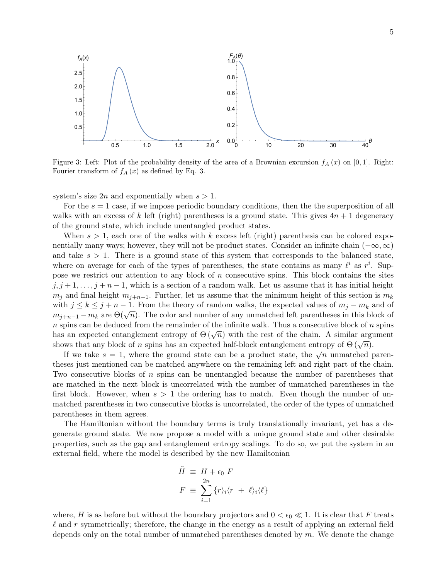

Figure 3: Left: Plot of the probability density of the area of a Brownian excursion  $f_A(x)$  on [0, 1]. Right: Fourier transform of  $f_A(x)$  as defined by Eq. 3.

system's size  $2n$  and exponentially when  $s > 1$ .

For the  $s = 1$  case, if we impose periodic boundary conditions, then the the superposition of all walks with an excess of k left (right) parentheses is a ground state. This gives  $4n + 1$  degeneracy of the ground state, which include unentangled product states.

When  $s > 1$ , each one of the walks with k excess left (right) parenthesis can be colored exponentially many ways; however, they will not be product states. Consider an infinite chain  $(-\infty, \infty)$ and take  $s > 1$ . There is a ground state of this system that corresponds to the balanced state, where on average for each of the types of parentheses, the state contains as many  $\ell^i$  as  $r^i$ . Suppose we restrict our attention to any block of  $n$  consecutive spins. This block contains the sites  $j, j+1, \ldots, j+n-1$ , which is a section of a random walk. Let us assume that it has initial height  $m_j$  and final height  $m_{j+n-1}$ . Further, let us assume that the minimum height of this section is  $m_k$ with  $j \leq k \leq j + n - 1$ . From the theory of random walks, the expected values of  $m_j - m_k$  and of with  $j \le k \le j + n-1$ . From the theory of random wanks, the expected values of  $m_j - m_k$  and or  $m_{j+n-1} - m_k$  are  $\Theta(\sqrt{n})$ . The color and number of any unmatched left parentheses in this block of  $n$  spins can be deduced from the remainder of the infinite walk. Thus a consecutive block of  $n$  spins has an expected entanglement entropy of  $\Theta(\sqrt{n})$  with the rest of the chain. A similar argument has an expected entanglement entropy of  $\Theta(\sqrt{n})$  with the rest of the chain. A similar argument shows that any block of n spins has an expected half-block entanglement entropy of  $\Theta(\sqrt{n})$ .

If we take  $s = 1$ , where the ground state can be a product state, the  $\sqrt{n}$  unmatched parentheses just mentioned can be matched anywhere on the remaining left and right part of the chain. Two consecutive blocks of n spins can be unentangled because the number of parentheses that are matched in the next block is uncorrelated with the number of unmatched parentheses in the first block. However, when  $s > 1$  the ordering has to match. Even though the number of unmatched parentheses in two consecutive blocks is uncorrelated, the order of the types of unmatched parentheses in them agrees.

The Hamiltonian without the boundary terms is truly translationally invariant, yet has a degenerate ground state. We now propose a model with a unique ground state and other desirable properties, such as the gap and entanglement entropy scalings. To do so, we put the system in an external field, where the model is described by the new Hamiltonian

$$
\tilde{H} \equiv H + \epsilon_0 F
$$
\n
$$
F \equiv \sum_{i=1}^{2n} \{r \}_{i} \langle r + \ell \rangle_{i} \langle \ell \}
$$

where, H is as before but without the boundary projectors and  $0 < \epsilon_0 \ll 1$ . It is clear that F treats  $\ell$  and r symmetrically; therefore, the change in the energy as a result of applying an external field depends only on the total number of unmatched parentheses denoted by  $m$ . We denote the change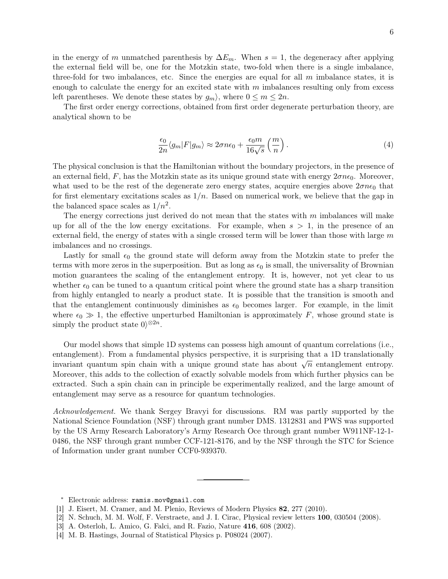in the energy of m unmatched parenthesis by  $\Delta E_m$ . When  $s = 1$ , the degeneracy after applying the external field will be, one for the Motzkin state, two-fold when there is a single imbalance, three-fold for two imbalances, etc. Since the energies are equal for all  $m$  imbalance states, it is enough to calculate the energy for an excited state with  $m$  imbalances resulting only from excess left parentheses. We denote these states by  $g_m$ , where  $0 \le m \le 2n$ .

The first order energy corrections, obtained from first order degenerate perturbation theory, are analytical shown to be

$$
\frac{\epsilon_0}{2n} \langle g_m | F | g_m \rangle \approx 2 \sigma n \epsilon_0 + \frac{\epsilon_0 m}{16 \sqrt{s}} \left( \frac{m}{n} \right). \tag{4}
$$

The physical conclusion is that the Hamiltonian without the boundary projectors, in the presence of an external field, F, has the Motzkin state as its unique ground state with energy  $2\sigma n\epsilon_0$ . Moreover, what used to be the rest of the degenerate zero energy states, acquire energies above  $2\sigma n\epsilon_0$  that for first elementary excitations scales as  $1/n$ . Based on numerical work, we believe that the gap in the balanced space scales as  $1/n^2$ .

The energy corrections just derived do not mean that the states with  $m$  imbalances will make up for all of the the low energy excitations. For example, when  $s > 1$ , in the presence of an external field, the energy of states with a single crossed term will be lower than those with large  $m$ imbalances and no crossings.

Lastly for small  $\epsilon_0$  the ground state will deform away from the Motzkin state to prefer the terms with more zeros in the superposition. But as long as  $\epsilon_0$  is small, the universality of Brownian motion guarantees the scaling of the entanglement entropy. It is, however, not yet clear to us whether  $\epsilon_0$  can be tuned to a quantum critical point where the ground state has a sharp transition from highly entangled to nearly a product state. It is possible that the transition is smooth and that the entanglement continuously diminishes as  $\epsilon_0$  becomes larger. For example, in the limit where  $\epsilon_0 \gg 1$ , the effective unperturbed Hamiltonian is approximately F, whose ground state is simply the product state  $0\rangle^{\otimes 2n}$ .

Our model shows that simple 1D systems can possess high amount of quantum correlations (i.e., entanglement). From a fundamental physics perspective, it is surprising that a 1D translationally entanglement). From a fundamental physics perspective, it is surprising that a 1D translationally invariant quantum spin chain with a unique ground state has about  $\sqrt{n}$  entanglement entropy. Moreover, this adds to the collection of exactly solvable models from which further physics can be extracted. Such a spin chain can in principle be experimentally realized, and the large amount of entanglement may serve as a resource for quantum technologies.

Acknowledgement. We thank Sergey Bravyi for discussions. RM was partly supported by the National Science Foundation (NSF) through grant number DMS. 1312831 and PWS was supported by the US Army Research Laboratory's Army Research Oce through grant number W911NF-12-1- 0486, the NSF through grant number CCF-121-8176, and by the NSF through the STC for Science of Information under grant number CCF0-939370.

<sup>∗</sup> Electronic address: ramis.mov@gmail.com

<sup>[1]</sup> J. Eisert, M. Cramer, and M. Plenio, Reviews of Modern Physics 82, 277 (2010).

<sup>[2]</sup> N. Schuch, M. M. Wolf, F. Verstraete, and J. I. Cirac, Physical review letters 100, 030504 (2008).

<sup>[3]</sup> A. Osterloh, L. Amico, G. Falci, and R. Fazio, Nature 416, 608 (2002).

<sup>[4]</sup> M. B. Hastings, Journal of Statistical Physics p. P08024 (2007).